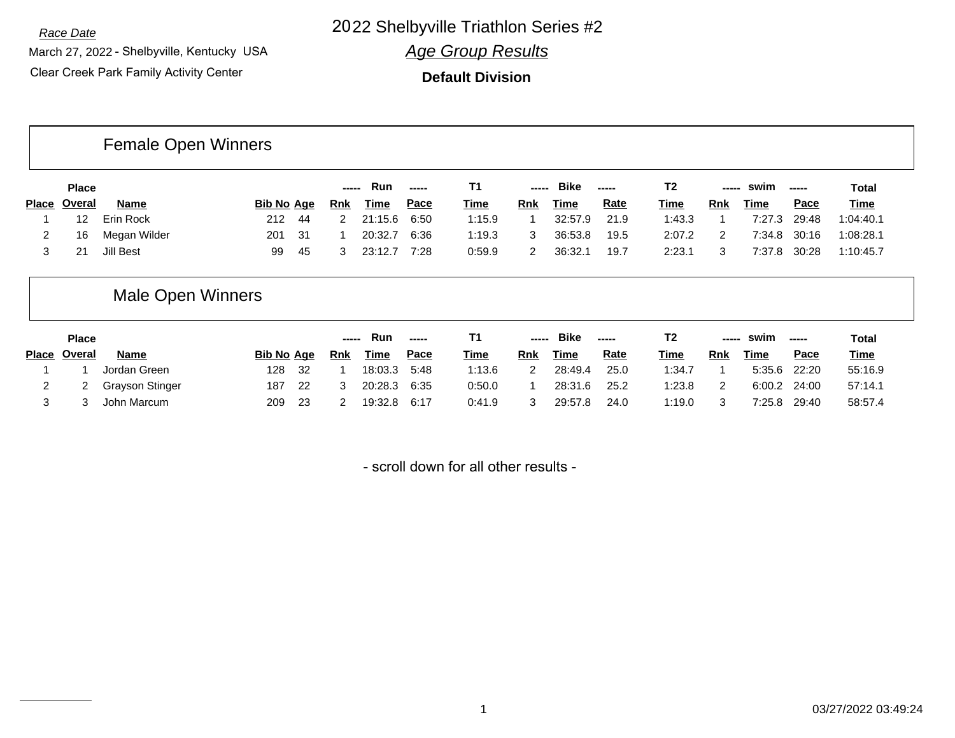*Race Date* 22 Shelbyville Triathlon Series #2 20

March 27, 2022 - Shelbyville, Kentucky USA Clear Creek Park Family Activity Center

*Age Group Results*

**Default Division**

# Female Open Winners

| <b>Place</b> |              |                   |      | ----- | Run         | $- - - - -$ |             | ----- | <b>Bike</b> | $\begin{array}{ccc} \multicolumn{3}{c}{} & \multicolumn{3}{c}{} & \multicolumn{3}{c}{} & \multicolumn{3}{c}{} & \multicolumn{3}{c}{} & \multicolumn{3}{c}{} & \multicolumn{3}{c}{} & \multicolumn{3}{c}{} & \multicolumn{3}{c}{} & \multicolumn{3}{c}{} & \multicolumn{3}{c}{} & \multicolumn{3}{c}{} & \multicolumn{3}{c}{} & \multicolumn{3}{c}{} & \multicolumn{3}{c}{} & \multicolumn{3}{c}{} & \multicolumn{3}{c}{} & \multicolumn{3}{c}{} & \multicolumn{3}{c}{} & \multicolumn$ | T2     | ----- | swim        | ------ | Total       |
|--------------|--------------|-------------------|------|-------|-------------|-------------|-------------|-------|-------------|----------------------------------------------------------------------------------------------------------------------------------------------------------------------------------------------------------------------------------------------------------------------------------------------------------------------------------------------------------------------------------------------------------------------------------------------------------------------------------------|--------|-------|-------------|--------|-------------|
| Place Overal | <b>Name</b>  | <b>Bib No Age</b> |      | Rnk   | <u>Time</u> | <u>Pace</u> | <u>Time</u> | Rnk   | <u>Time</u> | <u>Rate</u>                                                                                                                                                                                                                                                                                                                                                                                                                                                                            | Time   | Rnk   | <b>Time</b> | Pace   | <u>Time</u> |
|              | Erin Rock    | 212               | - 44 |       | 21:15.6     | 6:50        | 1:15.9      |       | 32:57.9     | 21.9                                                                                                                                                                                                                                                                                                                                                                                                                                                                                   | 1:43.3 |       | 7:27.3      | 29:48  | 1:04:40.1   |
| 16           | Megan Wilder | 201               | - 31 |       | 20:32.7     | 6:36        | 1:19.3      |       | 36:53.8     | 19.5                                                                                                                                                                                                                                                                                                                                                                                                                                                                                   | 2:07.2 | 2     | 7:34.8      | 30:16  | 1:08:28.1   |
| 21           | Jill Best    | 99                | -45  |       | 23:12.7     | 7:28        | 0:59.9      |       | 36:32.1     | 19.7                                                                                                                                                                                                                                                                                                                                                                                                                                                                                   | 2:23.1 |       | 7:37.8      | 30:28  | 1:10:45.7   |

### Male Open Winners

| <b>Place</b> |                 |                   |      | ----- | Run         | $\frac{1}{2}$ |             | $\frac{1}{2}$ | <b>Bike</b> |             | T <sub>2</sub> | -----      | swim         | -----       | Total       |
|--------------|-----------------|-------------------|------|-------|-------------|---------------|-------------|---------------|-------------|-------------|----------------|------------|--------------|-------------|-------------|
| Place Overal | <b>Name</b>     | <b>Bib No Age</b> |      | Rnk   | <b>Time</b> | Pace          | <u>Time</u> | Rnk           | <u>Time</u> | <u>Rate</u> | <u>Time</u>    | <b>Rnk</b> | Time         | <u>Pace</u> | <b>Time</b> |
|              | Jordan Green    | 128               | - 32 |       | 18:03.3     | 5:48          | 1:13.6      |               | 28:49.4     | 25.0        | 1:34.7         |            | 5:35.6 22:20 |             | 55:16.9     |
|              | Grayson Stinger | 187               | - 22 |       | 20:28.3     | 6:35          | 0:50.0      |               | 28:31.6     | 25.2        | 1:23.8         | 2          | 6:00.2 24:00 |             | 57:14.1     |
|              | John Marcum     | 209               | -23  |       | 19:32.8     | 6:17          | 0:41.9      |               | 29:57.8     | 24.0        | 1:19.0         | 2          | 7:25.8       | 29:40       | 58:57.4     |

- scroll down for all other results -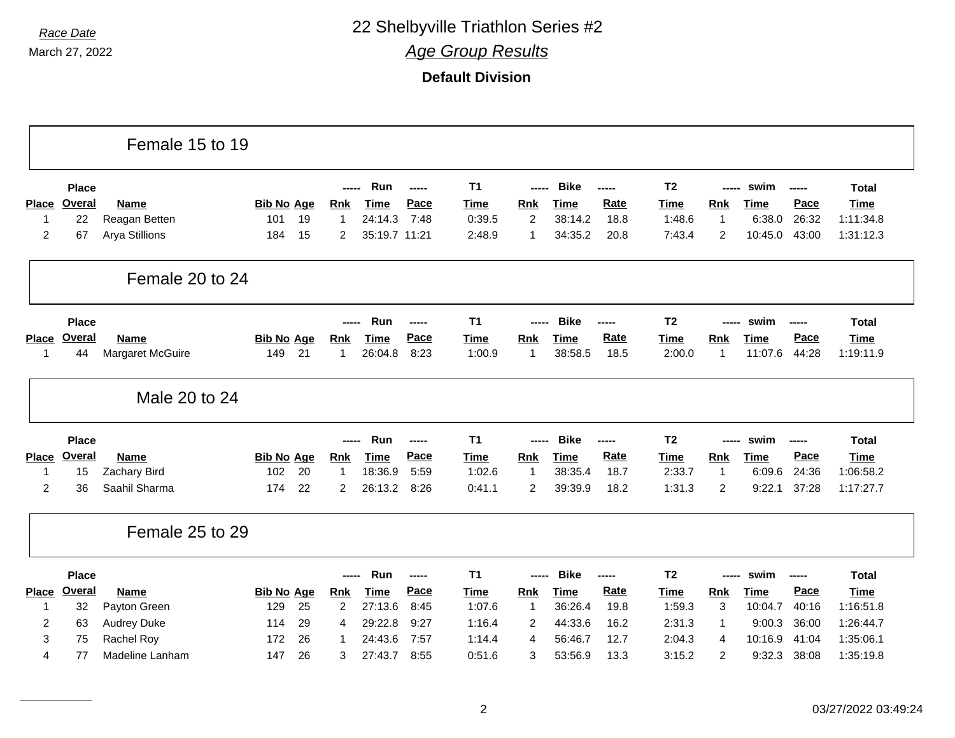|                |               | Female 15 to 19    |                   |                |               |             |                |                |             |             |                |                |             |       |              |
|----------------|---------------|--------------------|-------------------|----------------|---------------|-------------|----------------|----------------|-------------|-------------|----------------|----------------|-------------|-------|--------------|
|                | <b>Place</b>  |                    |                   |                | Run           | -----       | T <sub>1</sub> | -----          | <b>Bike</b> | -----       | T <sub>2</sub> | -----          | swim        | ----- | <b>Total</b> |
| <b>Place</b>   | <b>Overal</b> | Name               | <b>Bib No Age</b> | <b>Rnk</b>     | <b>Time</b>   | Pace        | <b>Time</b>    | Rnk            | <b>Time</b> | <b>Rate</b> | <b>Time</b>    | <b>Rnk</b>     | Time        | Pace  | Time         |
| $\mathbf 1$    | 22            | Reagan Betten      | 19<br>101         | 1              | 24:14.3       | 7:48        | 0:39.5         | 2              | 38:14.2     | 18.8        | 1:48.6         | $\mathbf{1}$   | 6:38.0      | 26:32 | 1:11:34.8    |
| $\overline{2}$ | 67            | Arya Stillions     | 15<br>184         | $\overline{2}$ | 35:19.7 11:21 |             | 2:48.9         | $\overline{1}$ | 34:35.2     | 20.8        | 7:43.4         | $\overline{c}$ | 10:45.0     | 43:00 | 1:31:12.3    |
|                |               | Female 20 to 24    |                   |                |               |             |                |                |             |             |                |                |             |       |              |
|                | <b>Place</b>  |                    |                   |                | Run           | -----       | T <sub>1</sub> |                | <b>Bike</b> | -----       | T <sub>2</sub> | -----          | swim        | ----- | <b>Total</b> |
| Place          | <b>Overal</b> | <b>Name</b>        | <b>Bib No Age</b> | Rnk            | <b>Time</b>   | Pace        | <b>Time</b>    | Rnk            | <b>Time</b> | <b>Rate</b> | Time           | <b>Rnk</b>     | Time        | Pace  | <b>Time</b>  |
| $\mathbf 1$    | 44            | Margaret McGuire   | 21<br>149         | $\mathbf 1$    | 26:04.8       | 8:23        | 1:00.9         | $\overline{1}$ | 38:58.5     | 18.5        | 2:00.0         | 1              | 11:07.6     | 44:28 | 1:19:11.9    |
|                |               | Male 20 to 24      |                   |                |               |             |                |                |             |             |                |                |             |       |              |
|                | <b>Place</b>  |                    |                   |                | Run           | -----       | T <sub>1</sub> | -----          | <b>Bike</b> | -----       | T <sub>2</sub> | -----          | swim        | ----- | <b>Total</b> |
| <b>Place</b>   | Overal        | <b>Name</b>        | <b>Bib No Age</b> | <b>Rnk</b>     | <b>Time</b>   | Pace        | Time           | Rnk            | <b>Time</b> | Rate        | <b>Time</b>    | Rnk            | <b>Time</b> | Pace  | <b>Time</b>  |
| $\mathbf{1}$   | 15            | Zachary Bird       | 20<br>102         | $\mathbf{1}$   | 18:36.9       | 5:59        | 1:02.6         | $\mathbf{1}$   | 38:35.4     | 18.7        | 2:33.7         | $\mathbf{1}$   | 6:09.6      | 24:36 | 1:06:58.2    |
| $\overline{2}$ | 36            | Saahil Sharma      | 22<br>174         | $\overline{2}$ | 26:13.2       | 8:26        | 0:41.1         | 2              |             |             |                |                | 9:22.1      | 37:28 | 1:17:27.7    |
|                |               |                    |                   |                |               |             |                |                | 39:39.9     | 18.2        | 1:31.3         | $\overline{c}$ |             |       |              |
|                |               | Female 25 to 29    |                   |                |               |             |                |                |             |             |                |                |             |       |              |
|                | <b>Place</b>  |                    |                   |                | Run<br>-----  | $- - - - -$ | T <sub>1</sub> | -----          | <b>Bike</b> | -----       | T <sub>2</sub> | -----          | swim        | ----- | <b>Total</b> |
| Place          | Overal        | Name               | <b>Bib No Age</b> | <b>Rnk</b>     | <b>Time</b>   | Pace        | <b>Time</b>    | Rnk            | <b>Time</b> | Rate        | <b>Time</b>    | <b>Rnk</b>     | <b>Time</b> | Pace  | <b>Time</b>  |
| -1             | 32            | Payton Green       | 25<br>129         | $\overline{2}$ | 27:13.6       | 8:45        | 1:07.6         | $\mathbf{1}$   | 36:26.4     | 19.8        | 1:59.3         | 3              | 10:04.7     | 40:16 | 1:16:51.8    |
| $\overline{2}$ | 63            | <b>Audrey Duke</b> | 29<br>114         | 4              | 29:22.8       | 9:27        | 1:16.4         | $\overline{2}$ | 44:33.6     | 16.2        | 2:31.3         | $\mathbf{1}$   | 9:00.3      | 36:00 | 1:26:44.7    |
| 3              | 75            | Rachel Roy         | 26<br>172         |                | 24:43.6       | 7:57        | 1:14.4         | $\overline{4}$ | 56:46.7     | 12.7        | 2:04.3         | 4              | 10:16.9     | 41:04 | 1:35:06.1    |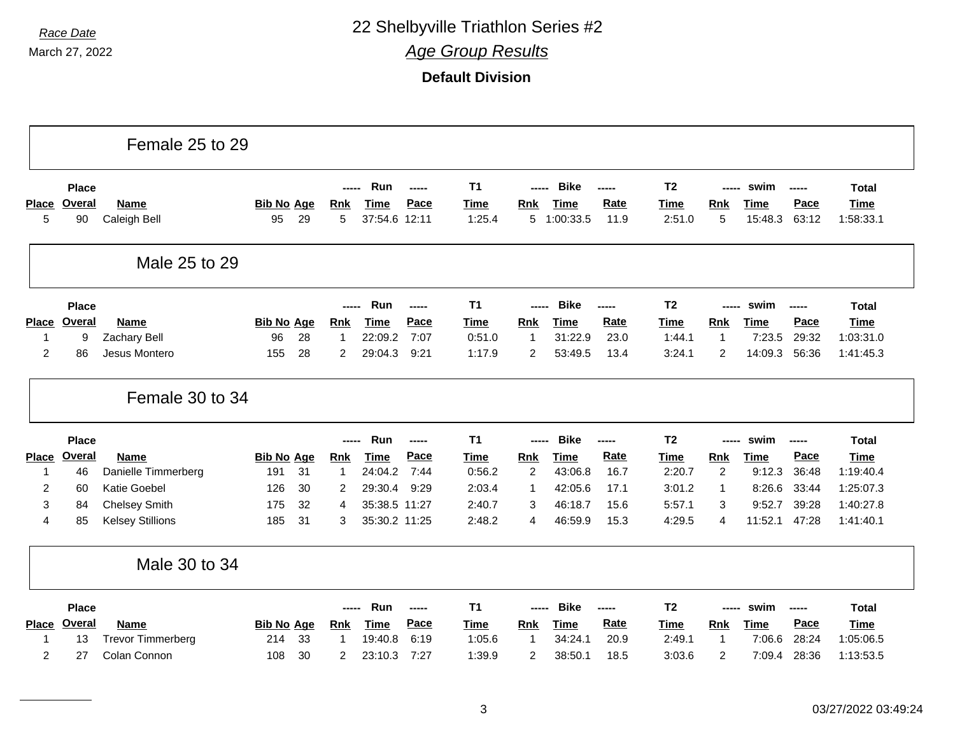*Race Date* 22 Shelbyville Triathlon Series #2

*Age Group Results*

|              |               | Female 25 to 29                          |                   |          |                     |                    |              |                  |                     |                    |              |                  |                   |                  |                |                        |
|--------------|---------------|------------------------------------------|-------------------|----------|---------------------|--------------------|--------------|------------------|---------------------|--------------------|--------------|------------------|-------------------|------------------|----------------|------------------------|
|              | <b>Place</b>  |                                          |                   |          | $---$               | Run                | -----        | T <sub>1</sub>   | -----               | <b>Bike</b>        | -----        | T <sub>2</sub>   | -----             | swim             | ------         | <b>Total</b>           |
| <b>Place</b> | <b>Overal</b> | <b>Name</b>                              | <b>Bib No Age</b> |          | <b>Rnk</b>          | <b>Time</b>        | Pace         | <b>Time</b>      | <b>Rnk</b>          | <b>Time</b>        | Rate         | <b>Time</b>      | <b>Rnk</b>        | <b>Time</b>      | Pace           | <b>Time</b>            |
| 5            | 90            | Caleigh Bell                             | 95                | 29       | 5                   | 37:54.6 12:11      |              | 1:25.4           |                     | 5 1:00:33.5        | 11.9         | 2:51.0           | 5                 | 15:48.3          | 63:12          | 1:58:33.1              |
|              |               | Male 25 to 29                            |                   |          |                     |                    |              |                  |                     |                    |              |                  |                   |                  |                |                        |
|              | <b>Place</b>  |                                          |                   |          | -----               | Run                | -----        | T <sub>1</sub>   | -----               | <b>Bike</b>        | -----        | T <sub>2</sub>   | -----             | swim             | -----          | <b>Total</b>           |
| <b>Place</b> | Overal        | Name                                     | <b>Bib No Age</b> |          | <b>Rnk</b>          | <b>Time</b>        | Pace         | <b>Time</b>      | <b>Rnk</b>          | <b>Time</b>        | Rate         | <b>Time</b>      | Rnk               | <b>Time</b>      | Pace           | <b>Time</b>            |
| $\mathbf{1}$ | 9             | Zachary Bell                             | 96                | 28       | $\mathbf{1}$        | 22:09.2            | 7:07         | 0:51.0           | $\mathbf{1}$        | 31:22.9            | 23.0         | 1:44.1           | $\mathbf{1}$      | 7:23.5           | 29:32          | 1:03:31.0              |
| 2            | 86            | Jesus Montero                            | 155               | 28       | $\overline{2}$      | 29:04.3            | 9:21         | 1:17.9           | 2                   | 53:49.5            | 13.4         | 3:24.1           | $\overline{2}$    | 14:09.3          | 56:36          | 1:41:45.3              |
|              |               | Female 30 to 34                          |                   |          |                     |                    |              |                  |                     |                    |              |                  |                   |                  |                |                        |
|              | <b>Place</b>  |                                          |                   |          |                     | Run                | -----        | <b>T1</b>        | -----               | <b>Bike</b>        | -----        | T <sub>2</sub>   | -----             | swim             | $- - - - -$    | <b>Total</b>           |
| Place        | <b>Overal</b> | <b>Name</b>                              | <b>Bib No Age</b> |          | <b>Rnk</b>          | <b>Time</b>        | Pace         | <b>Time</b>      | <b>Rnk</b>          | <b>Time</b>        | Rate         | <b>Time</b>      | <b>Rnk</b>        | <b>Time</b>      | Pace           | <b>Time</b>            |
| 1            | 46            | Danielle Timmerberg                      | 191               | 31       | 1                   | 24:04.2            | 7:44         | 0:56.2           | $\overline{2}$      | 43:06.8            | 16.7         | 2:20.7           | 2                 | 9:12.3           | 36:48          | 1:19:40.4              |
| 2            | 60            | <b>Katie Goebel</b>                      | 126               | 30       | 2                   | 29:30.4            | 9:29         | 2:03.4           | -1                  | 42:05.6            | 17.1         | 3:01.2           | $\mathbf 1$       | 8:26.6           | 33:44          | 1:25:07.3              |
| 3            | 84            | <b>Chelsey Smith</b>                     | 175               | 32       | 4                   | 35:38.5 11:27      |              | 2:40.7           | 3                   | 46:18.7            | 15.6         | 5:57.1           | 3                 | 9:52.7           | 39:28          | 1:40:27.8              |
| 4            | 85            | <b>Kelsey Stillions</b>                  | 185               | 31       | 3                   | 35:30.2 11:25      |              | 2:48.2           | 4                   | 46:59.9            | 15.3         | 4:29.5           | $\overline{4}$    | 11:52.1          | 47:28          | 1:41:40.1              |
|              |               | Male 30 to 34                            |                   |          |                     |                    |              |                  |                     |                    |              |                  |                   |                  |                |                        |
|              |               |                                          |                   |          |                     |                    |              |                  |                     |                    |              |                  |                   |                  |                |                        |
|              | <b>Place</b>  |                                          |                   |          | -----               | Run                | -----        | <b>T1</b>        | -----               | <b>Bike</b>        | -----        | T <sub>2</sub>   | -----             | swim             | -----          | <b>Total</b>           |
| <b>Place</b> | Overal        | <b>Name</b>                              | <b>Bib No Age</b> |          | <b>Rnk</b>          | <b>Time</b>        | Pace         | <b>Time</b>      | Rnk                 | <b>Time</b>        | Rate         | <b>Time</b>      | Rnk               | <b>Time</b>      | Pace           | <b>Time</b>            |
| 1<br>2       | 13            | <b>Trevor Timmerberg</b><br>Colan Connon | 214<br>108        | 33<br>30 | 1<br>$\overline{c}$ | 19:40.8<br>23:10.3 | 6:19<br>7:27 | 1:05.6<br>1:39.9 | 1<br>$\overline{c}$ | 34:24.1<br>38:50.1 | 20.9<br>18.5 | 2:49.1<br>3:03.6 | $\mathbf{1}$<br>2 | 7:06.6<br>7:09.4 | 28:24<br>28:36 | 1:05:06.5<br>1:13:53.5 |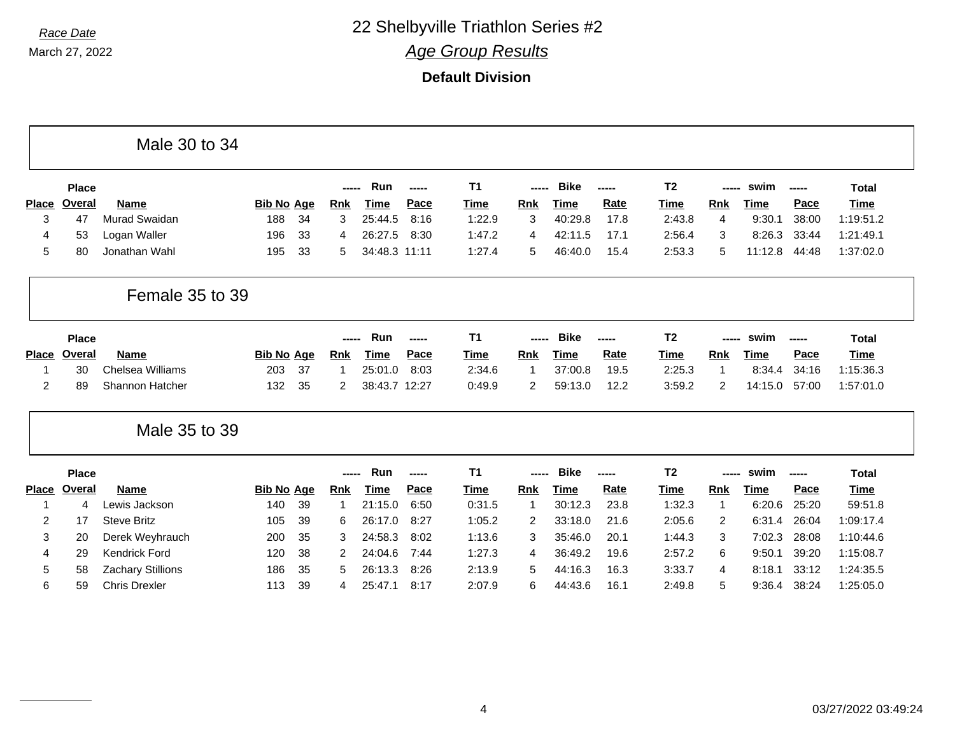|                |               | Male 30 to 34          |                   |    |                |               |        |             |                |             |             |                |                |             |                       |              |
|----------------|---------------|------------------------|-------------------|----|----------------|---------------|--------|-------------|----------------|-------------|-------------|----------------|----------------|-------------|-----------------------|--------------|
|                | <b>Place</b>  |                        |                   |    |                | Run           | ------ | <b>T1</b>   |                | <b>Bike</b> | -----       | T <sub>2</sub> | ----           | swim        | -----                 | <b>Total</b> |
| <b>Place</b>   | Overal        | <b>Name</b>            | <b>Bib No Age</b> |    | <b>Rnk</b>     | Time          | Pace   | Time        | <b>Rnk</b>     | <b>Time</b> | Rate        | <b>Time</b>    | <b>Rnk</b>     | <b>Time</b> | Pace                  | <b>Time</b>  |
| 3              | 47            | Murad Swaidan          | 188               | 34 | 3              | 25:44.5       | 8:16   | 1:22.9      | 3              | 40:29.8     | 17.8        | 2:43.8         | $\overline{4}$ | 9:30.1      | 38:00                 | 1:19:51.2    |
| 4              | 53            | Logan Waller           | 196               | 33 | 4              | 26:27.5       | 8:30   | 1:47.2      | 4              | 42:11.5     | 17.1        | 2:56.4         | 3              | 8:26.3      | 33:44                 | 1:21:49.1    |
| 5              | 80            | Jonathan Wahl          | 195               | 33 | 5              | 34:48.3 11:11 |        | 1:27.4      | 5              | 46:40.0     | 15.4        | 2:53.3         | 5              | 11:12.8     | 44:48                 | 1:37:02.0    |
|                |               | Female 35 to 39        |                   |    |                |               |        |             |                |             |             |                |                |             |                       |              |
|                | Place         |                        |                   |    |                | Run           | -----  | <b>T1</b>   |                | <b>Bike</b> | -----       | T <sub>2</sub> | ----           | swim        | -----                 | <b>Total</b> |
| <b>Place</b>   | <b>Overal</b> | <b>Name</b>            | <b>Bib No Age</b> |    | <b>Rnk</b>     | Time          | Pace   | Time        | <b>Rnk</b>     | <b>Time</b> | Rate        | Time           | <b>Rnk</b>     | <b>Time</b> | Pace                  | <b>Time</b>  |
|                | 30            | Chelsea Williams       | 203               | 37 | 1              | 25:01.0       | 8:03   | 2:34.6      |                | 37:00.8     | 19.5        | 2:25.3         | $\overline{1}$ | 8:34.4      | 34:16                 | 1:15:36.3    |
| $\overline{2}$ | 89            | <b>Shannon Hatcher</b> | 132               | 35 | $\overline{2}$ | 38:43.7 12:27 |        | 0:49.9      | $\overline{2}$ | 59:13.0     | 12.2        | 3:59.2         | $\overline{2}$ | 14:15.0     | 57:00                 | 1:57:01.0    |
|                |               | Male 35 to 39          |                   |    |                |               |        |             |                |             |             |                |                |             |                       |              |
|                | <b>Place</b>  |                        |                   |    | -----          | Run           | -----  | <b>T1</b>   | -----          | <b>Bike</b> | -----       | T <sub>2</sub> | -----          | swim        | $\sim$ - - - - $\sim$ | <b>Total</b> |
| <b>Place</b>   | Overal        | <b>Name</b>            | <b>Bib No Age</b> |    | <b>Rnk</b>     | <b>Time</b>   | Pace   | <b>Time</b> | <b>Rnk</b>     | <b>Time</b> | <b>Rate</b> | Time           | <b>Rnk</b>     | Time        | Pace                  | <b>Time</b>  |
| 1              | 4             | Lewis Jackson          | 140               | 39 | 1              | 21:15.0       | 6:50   | 0:31.5      | 1              | 30:12.3     | 23.8        | 1:32.3         | $\overline{1}$ | 6:20.6      | 25:20                 | 59:51.8      |
| 2              | 17            | <b>Steve Britz</b>     | 105               | 39 | 6              | 26:17.0       | 8:27   | 1:05.2      | 2              | 33:18.0     | 21.6        | 2:05.6         | $\overline{2}$ | 6:31.4      | 26:04                 | 1:09:17.4    |
| 3              | 20            | Derek Weyhrauch        | 200               | 35 | 3              | 24:58.3       | 8:02   | 1:13.6      | 3              | 35:46.0     | 20.1        | 1:44.3         | 3              | 7:02.3      | 28:08                 | 1:10:44.6    |
|                |               | <b>Kendrick Ford</b>   | 120               | 38 | 2              | 24:04.6       | 7:44   | 1:27.3      | 4              | 36:49.2     | 19.6        | 2:57.2         | 6              | 9:50.1      | 39:20                 | 1:15:08.7    |
| 4              | 29            |                        |                   |    |                |               |        |             |                |             |             |                |                |             |                       |              |
| 5              | 58            | Zachary Stillions      | 186               | 35 | 5              | 26:13.3       | 8:26   | 2:13.9      | 5              | 44:16.3     | 16.3        | 3:33.7         | 4              | 8:18.1      | 33:12                 | 1:24:35.5    |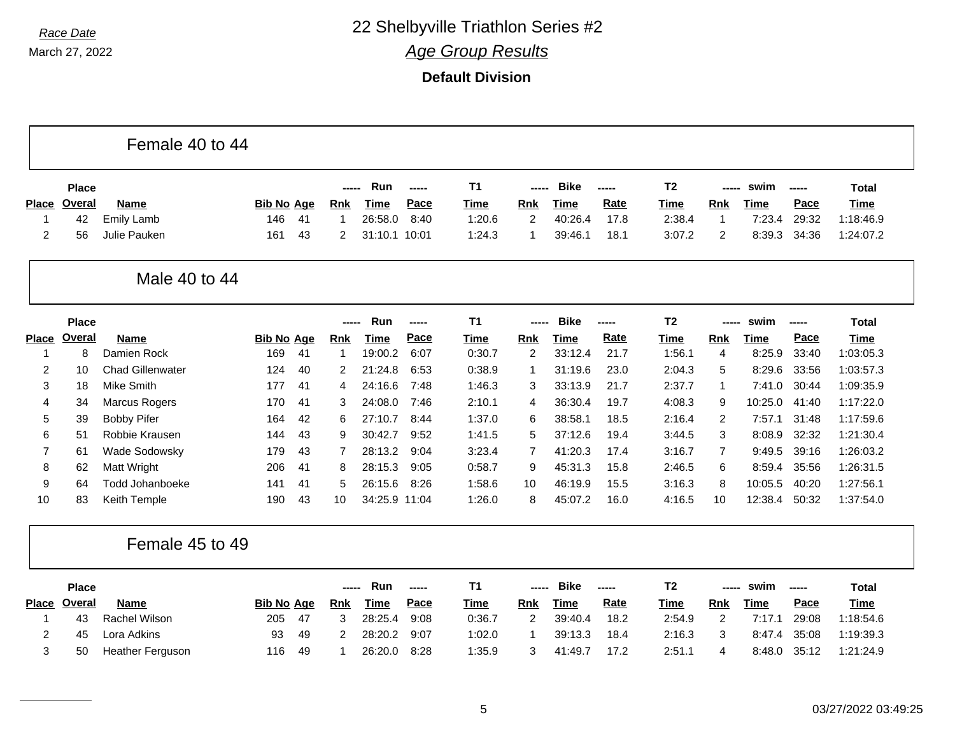March 27, 2022

|                |               | Female 40 to 44         |                   |    |             |               |             |                |                |             |       |                |                |             |       |              |
|----------------|---------------|-------------------------|-------------------|----|-------------|---------------|-------------|----------------|----------------|-------------|-------|----------------|----------------|-------------|-------|--------------|
|                | <b>Place</b>  |                         |                   |    |             | Run           | -----       | <b>T1</b>      |                | <b>Bike</b> | ----- | T <sub>2</sub> | -----          | swim        | ----- | <b>Total</b> |
| Place          | Overal        | <b>Name</b>             | <b>Bib No Age</b> |    | <b>Rnk</b>  | <b>Time</b>   | Pace        | <b>Time</b>    | Rnk            | <b>Time</b> | Rate  | Time           | Rnk            | Time        | Pace  | <b>Time</b>  |
| $\mathbf 1$    | 42            | Emily Lamb              | 146               | 41 | $\mathbf 1$ | 26:58.0       | 8:40        | 1:20.6         | 2              | 40:26.4     | 17.8  | 2:38.4         | $\overline{1}$ | 7:23.4      | 29:32 | 1:18:46.9    |
| $\overline{2}$ | 56            | Julie Pauken            | 161               | 43 | 2           | 31:10.1 10:01 |             | 1:24.3         | $\mathbf 1$    | 39:46.1     | 18.1  | 3:07.2         | $\overline{c}$ | 8:39.3      | 34:36 | 1:24:07.2    |
|                |               | Male 40 to 44           |                   |    |             |               |             |                |                |             |       |                |                |             |       |              |
|                | <b>Place</b>  |                         |                   |    |             | Run           | $- - - - -$ | T <sub>1</sub> | -----          | <b>Bike</b> | ----- | <b>T2</b>      | -----          | swim        | ----- | <b>Total</b> |
| <b>Place</b>   | <b>Overal</b> | Name                    | <b>Bib No Age</b> |    | <b>Rnk</b>  | <b>Time</b>   | Pace        | <b>Time</b>    | <b>Rnk</b>     | <b>Time</b> | Rate  | <b>Time</b>    | <b>Rnk</b>     | <b>Time</b> | Pace  | <b>Time</b>  |
| -1             | 8             | Damien Rock             | 169               | 41 | -1          | 19:00.2       | 6:07        | 0:30.7         | 2              | 33:12.4     | 21.7  | 1:56.1         | 4              | 8:25.9      | 33:40 | 1:03:05.3    |
| $\overline{2}$ | 10            | <b>Chad Gillenwater</b> | 124               | 40 | 2           | 21:24.8       | 6:53        | 0:38.9         | $\mathbf 1$    | 31:19.6     | 23.0  | 2:04.3         | 5              | 8:29.6      | 33:56 | 1:03:57.3    |
| 3              | 18            | <b>Mike Smith</b>       | 177               | 41 | 4           | 24:16.6       | 7:48        | 1:46.3         | 3              | 33:13.9     | 21.7  | 2:37.7         | $\mathbf 1$    | 7:41.0      | 30:44 | 1:09:35.9    |
| 4              | 34            | <b>Marcus Rogers</b>    | 170               | 41 | 3           | 24:08.0       | 7:46        | 2:10.1         | 4              | 36:30.4     | 19.7  | 4:08.3         | 9              | 10:25.0     | 41:40 | 1:17:22.0    |
| 5              | 39            | <b>Bobby Pifer</b>      | 164               | 42 | 6           | 27:10.7       | 8:44        | 1:37.0         | 6              | 38:58.1     | 18.5  | 2:16.4         | $\overline{c}$ | 7:57.1      | 31:48 | 1:17:59.6    |
| 6              | 51            | Robbie Krausen          | 144               | 43 | 9           | 30:42.7       | 9:52        | 1:41.5         | 5              | 37:12.6     | 19.4  | 3:44.5         | 3              | 8:08.9      | 32:32 | 1:21:30.4    |
| $\overline{7}$ | 61            | Wade Sodowsky           | 179               | 43 | 7           | 28:13.2       | 9:04        | 3:23.4         | $\overline{7}$ | 41:20.3     | 17.4  | 3:16.7         | $\overline{7}$ | 9:49.5      | 39:16 | 1:26:03.2    |
| 8              | 62            | Matt Wright             | 206               | 41 | 8           | 28:15.3       | 9:05        | 0:58.7         | 9              | 45:31.3     | 15.8  | 2:46.5         | 6              | 8:59.4      | 35:56 | 1:26:31.5    |
| 9              | 64            | <b>Todd Johanboeke</b>  | 141               | 41 | 5           | 26:15.6       | 8:26        | 1:58.6         | 10             | 46:19.9     | 15.5  | 3:16.3         | 8              | 10:05.5     | 40:20 | 1:27:56.1    |
| 10             | 83            | Keith Temple            | 190               | 43 | 10          | 34:25.9 11:04 |             | 1:26.0         | 8              | 45:07.2     | 16.0  | 4:16.5         | 10             | 12:38.4     | 50:32 | 1:37:54.0    |
|                |               | Female 45 to 49         |                   |    |             |               |             |                |                |             |       |                |                |             |       |              |
|                | <b>Place</b>  |                         |                   |    | -----       | Run           | $-0.000$    | <b>T1</b>      | -----          | <b>Bike</b> | ----- | T <sub>2</sub> | -----          | swim        | ----- | <b>Total</b> |
| Place          | Overal        | <b>Name</b>             | <b>Bib No Age</b> |    | <b>Rnk</b>  | <b>Time</b>   | Pace        | <b>Time</b>    | Rnk            | <b>Time</b> | Rate  | Time           | Rnk            | <b>Time</b> | Pace  | <b>Time</b>  |
| -1             | 43            | <b>Rachel Wilson</b>    | 205               | 47 | 3           | 28:25.4       | 9:08        | 0:36.7         | 2              | 39:40.4     | 18.2  | 2:54.9         | $\overline{c}$ | 7:17.1      | 29:08 | 1:18:54.6    |
| 2              | 45            | Lora Adkins             | 93                | 49 | 2           | 28:20.2       | 9:07        | 1:02.0         | $\mathbf 1$    | 39:13.3     | 18.4  | 2:16.3         | 3              | 8:47.4      | 35:08 | 1:19:39.3    |
| 3              | 50            | <b>Heather Ferguson</b> | 116               | 49 | -1          | 26:20.0       | 8:28        | 1:35.9         | 3              | 41:49.7     | 17.2  | 2:51.1         | 4              | 8:48.0      | 35:12 | 1:21:24.9    |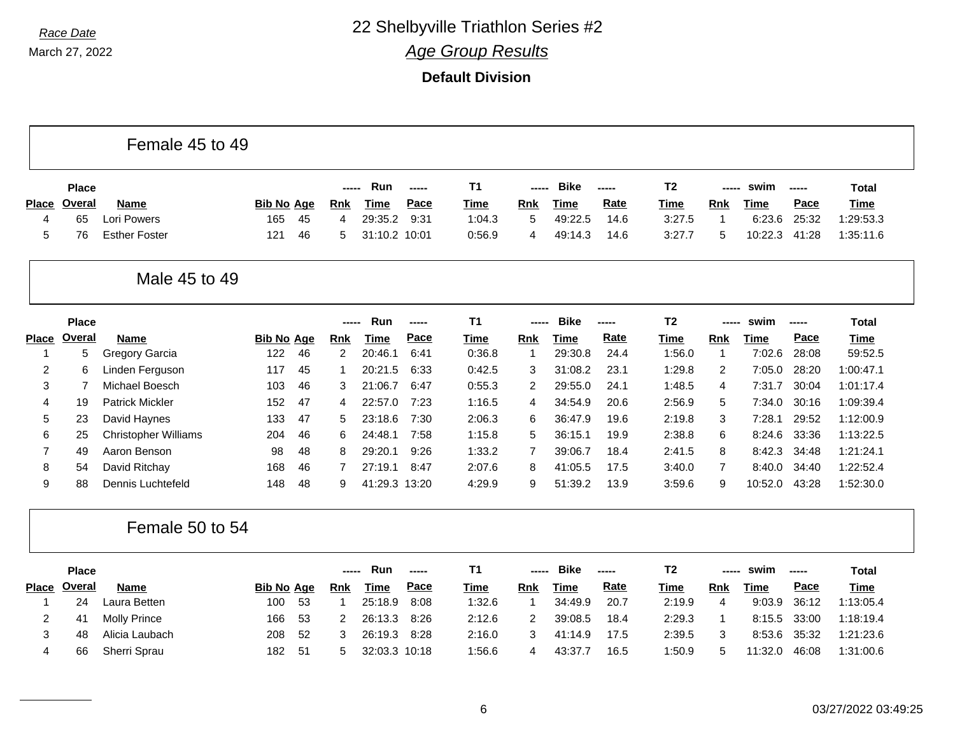**Default Division**

|                |               | Female 45 to 49             |                   |    |                |               |       |                |                |             |       |                |              |             |                                                                             |              |
|----------------|---------------|-----------------------------|-------------------|----|----------------|---------------|-------|----------------|----------------|-------------|-------|----------------|--------------|-------------|-----------------------------------------------------------------------------|--------------|
|                | <b>Place</b>  |                             |                   |    | -----          | Run           | ----- | <b>T1</b>      | -----          | <b>Bike</b> | ----- | T <sub>2</sub> | -----        | swim        | $-0.000$                                                                    | Total        |
| <b>Place</b>   | <b>Overal</b> | Name                        | <b>Bib No Age</b> |    | <b>Rnk</b>     | <b>Time</b>   | Pace  | <b>Time</b>    | <b>Rnk</b>     | <b>Time</b> | Rate  | <u>Time</u>    | <b>Rnk</b>   | <b>Time</b> | Pace                                                                        | <b>Time</b>  |
| $\overline{4}$ | 65            | Lori Powers                 | 165               | 45 | 4              | 29:35.2       | 9:31  | 1:04.3         | 5              | 49:22.5     | 14.6  | 3:27.5         | $\mathbf{1}$ | 6:23.6      | 25:32                                                                       | 1:29:53.3    |
| 5              | 76            | <b>Esther Foster</b>        | 121               | 46 | 5              | 31:10.2 10:01 |       | 0:56.9         | 4              | 49:14.3     | 14.6  | 3:27.7         | 5            | 10:22.3     | 41:28                                                                       | 1:35:11.6    |
|                |               | Male 45 to 49               |                   |    |                |               |       |                |                |             |       |                |              |             |                                                                             |              |
|                | <b>Place</b>  |                             |                   |    |                | Run           | ----- | T <sub>1</sub> | -----          | <b>Bike</b> | ----- | T <sub>2</sub> | -----        | swim        | -----                                                                       | <b>Total</b> |
| <b>Place</b>   | Overal        | <b>Name</b>                 | <b>Bib No Age</b> |    | Rnk            | <b>Time</b>   | Pace  | Time           | Rnk            | <b>Time</b> | Rate  | <b>Time</b>    | Rnk          | <b>Time</b> | Pace                                                                        | <b>Time</b>  |
| -1             | 5             | Gregory Garcia              | 122               | 46 | $\overline{2}$ | 20:46.1       | 6:41  | 0:36.8         | $\overline{1}$ | 29:30.8     | 24.4  | 1:56.0         | $\mathbf{1}$ | 7:02.6      | 28:08                                                                       | 59:52.5      |
| 2              | 6             | Linden Ferguson             | 117               | 45 |                | 20:21.5       | 6:33  | 0:42.5         | 3              | 31:08.2     | 23.1  | 1:29.8         | 2            | 7:05.0      | 28:20                                                                       | 1:00:47.1    |
| 3              | 7             | Michael Boesch              | 103               | 46 | 3              | 21:06.7       | 6:47  | 0:55.3         | 2              | 29:55.0     | 24.1  | 1:48.5         | 4            | 7:31.7      | 30:04                                                                       | 1:01:17.4    |
| 4              | 19            | <b>Patrick Mickler</b>      | 152               | 47 | 4              | 22:57.0       | 7:23  | 1:16.5         | 4              | 34:54.9     | 20.6  | 2:56.9         | 5            | 7:34.0      | 30:16                                                                       | 1:09:39.4    |
| 5              | 23            | David Haynes                | 133               | 47 | 5              | 23:18.6       | 7:30  | 2:06.3         | 6              | 36:47.9     | 19.6  | 2:19.8         | 3            | 7:28.1      | 29:52                                                                       | 1:12:00.9    |
| 6              | 25            | <b>Christopher Williams</b> | 204               | 46 | 6              | 24:48.1       | 7:58  | 1:15.8         | 5              | 36:15.1     | 19.9  | 2:38.8         | 6            | 8:24.6      | 33:36                                                                       | 1:13:22.5    |
| $\overline{7}$ | 49            | Aaron Benson                | 98                | 48 | 8              | 29:20.1       | 9:26  | 1:33.2         | $\overline{7}$ | 39:06.7     | 18.4  | 2:41.5         | 8            | 8:42.3      | 34:48                                                                       | 1:21:24.1    |
| 8              | 54            | David Ritchay               | 168               | 46 | 7              | 27:19.1       | 8:47  | 2:07.6         | 8              | 41:05.5     | 17.5  | 3:40.0         | 7            | 8:40.0      | 34:40                                                                       | 1:22:52.4    |
| 9              | 88            | Dennis Luchtefeld           | 148               | 48 | 9              | 41:29.3 13:20 |       | 4:29.9         | 9              | 51:39.2     | 13.9  | 3:59.6         | 9            | 10:52.0     | 43:28                                                                       | 1:52:30.0    |
|                |               | Female 50 to 54             |                   |    |                |               |       |                |                |             |       |                |              |             |                                                                             |              |
|                | <b>Place</b>  |                             |                   |    |                | Run           | ----- | <b>T1</b>      | -----          | <b>Bike</b> | ----- | T <sub>2</sub> | -----        | swim        | $\begin{array}{ccc} \textbf{---} & \textbf{---} & \textbf{---} \end{array}$ | <b>Total</b> |
| <b>Place</b>   | Overal        | <b>Name</b>                 | <b>Bib No Age</b> |    | <b>Rnk</b>     | <b>Time</b>   | Pace  | <b>Time</b>    | Rnk            | <b>Time</b> | Rate  | Time           | Rnk          | <b>Time</b> | Pace                                                                        | <b>Time</b>  |
| -1             | 24            | Laura Betten                | 100               | 53 | 1              | 25:18.9       | 8:08  | 1:32.6         | $\overline{1}$ | 34:49.9     | 20.7  | 2:19.9         | 4            | 9:03.9      | 36:12                                                                       | 1:13:05.4    |
| 2              | 41            | <b>Molly Prince</b>         | 166               | 53 | 2              | 26:13.3       | 8:26  | 2:12.6         | 2              | 39:08.5     | 18.4  | 2:29.3         | $\mathbf{1}$ | 8:15.5      | 33:00                                                                       | 1:18:19.4    |
| 3              | 48            | Alicia Laubach              | 208               | 52 | 3              | 26:19.3       | 8:28  | 2:16.0         | 3              | 41:14.9     | 17.5  | 2:39.5         | 3            | 8:53.6      | 35:32                                                                       | 1:21:23.6    |
| 4              | 66            | Sherri Sprau                | 182               | 51 | 5              | 32:03.3 10:18 |       | 1:56.6         | 4              | 43:37.7     | 16.5  | 1:50.9         | 5            | 11:32.0     | 46:08                                                                       | 1:31:00.6    |

┑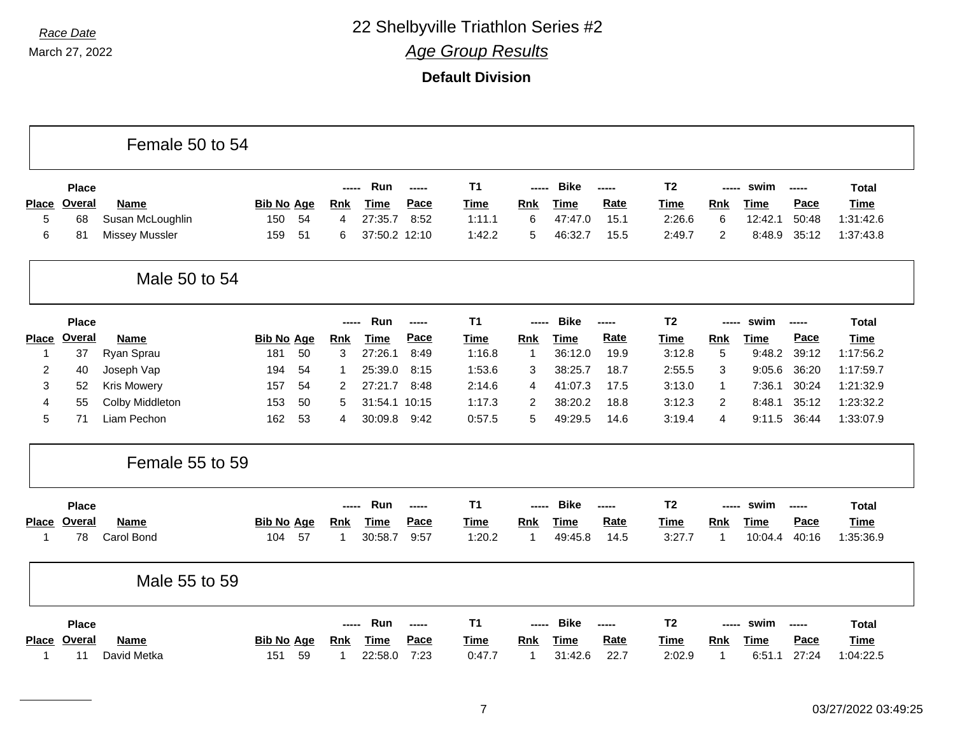|              |               | Female 50 to 54       |                   |            |               |               |                |                |             |       |                |                |             |       |              |
|--------------|---------------|-----------------------|-------------------|------------|---------------|---------------|----------------|----------------|-------------|-------|----------------|----------------|-------------|-------|--------------|
|              | <b>Place</b>  |                       |                   |            | Run           |               | T1             | -----          | <b>Bike</b> | ----- | <b>T2</b>      |                | swim        | ----- | <b>Total</b> |
| <b>Place</b> | <b>Overal</b> | <b>Name</b>           | <b>Bib No Age</b> | <b>Rnk</b> | <b>Time</b>   | Pace          | <b>Time</b>    | <b>Rnk</b>     | <b>Time</b> | Rate  | <b>Time</b>    | <b>Rnk</b>     | <b>Time</b> | Pace  | <b>Time</b>  |
| 5            | 68            | Susan McLoughlin      | 150<br>54         | 4          | 27:35.7       | 8:52          | 1:11.1         | 6              | 47:47.0     | 15.1  | 2:26.6         | 6              | 12:42.1     | 50:48 | 1:31:42.6    |
| 6            | 81            | <b>Missey Mussler</b> | 51<br>159         | 6          | 37:50.2 12:10 |               | 1:42.2         | 5              | 46:32.7     | 15.5  | 2:49.7         | $\overline{2}$ | 8:48.9      | 35:12 | 1:37:43.8    |
|              |               | Male 50 to 54         |                   |            |               |               |                |                |             |       |                |                |             |       |              |
|              | <b>Place</b>  |                       |                   | -----      | Run           | $\frac{1}{2}$ | T <sub>1</sub> | -----          | <b>Bike</b> | ----- | T <sub>2</sub> | -----          | swim        | ----- | <b>Total</b> |
| <b>Place</b> | <b>Overal</b> | <b>Name</b>           | <b>Bib No Age</b> | <b>Rnk</b> | <b>Time</b>   | Pace          | <b>Time</b>    | Rnk            | <b>Time</b> | Rate  | <b>Time</b>    | <b>Rnk</b>     | <b>Time</b> | Pace  | <b>Time</b>  |
| 1            | 37            | Ryan Sprau            | 50<br>181         | 3          | 27:26.1       | 8:49          | 1:16.8         | 1              | 36:12.0     | 19.9  | 3:12.8         | 5              | 9:48.2      | 39:12 | 1:17:56.2    |
| 2            | 40            | Joseph Vap            | 194<br>54         | -1         | 25:39.0       | 8:15          | 1:53.6         | 3              | 38:25.7     | 18.7  | 2:55.5         | 3              | 9:05.6      | 36:20 | 1:17:59.7    |
| 3            | 52            | <b>Kris Mowery</b>    | 157<br>54         | 2          | 27:21.7       | 8:48          | 2:14.6         | $\overline{4}$ | 41:07.3     | 17.5  | 3:13.0         | $\mathbf{1}$   | 7:36.1      | 30:24 | 1:21:32.9    |
| 4            | 55            | Colby Middleton       | 153<br>50         | 5          | 31:54.1 10:15 |               | 1:17.3         | 2              | 38:20.2     | 18.8  | 3:12.3         | $\overline{2}$ | 8:48.1      | 35:12 | 1:23:32.2    |
| 5            | 71            | Liam Pechon           | 53<br>162         | 4          | 30:09.8       | 9:42          | 0:57.5         | 5              | 49:29.5     | 14.6  | 3:19.4         | 4              | 9:11.5      | 36:44 | 1:33:07.9    |
|              |               | Female 55 to 59       |                   |            |               |               |                |                |             |       |                |                |             |       |              |
|              | <b>Place</b>  |                       |                   |            | Run           | -----         | <b>T1</b>      | -----          | <b>Bike</b> | ----- | T <sub>2</sub> | -----          | swim        | ----- | <b>Total</b> |
| <b>Place</b> | Overal        | <b>Name</b>           | <b>Bib No Age</b> | <b>Rnk</b> | <b>Time</b>   | Pace          | <b>Time</b>    | <b>Rnk</b>     | <b>Time</b> | Rate  | <b>Time</b>    | Rnk            | <b>Time</b> | Pace  | Time         |
| 1            | 78            | Carol Bond            | 57<br>104         | 1          | 30:58.7       | 9:57          | 1:20.2         | $\mathbf{1}$   | 49:45.8     | 14.5  | 3:27.7         | 1              | 10:04.4     | 40:16 | 1:35:36.9    |
|              |               | Male 55 to 59         |                   |            |               |               |                |                |             |       |                |                |             |       |              |
|              | <b>Place</b>  |                       |                   | ------     | Run           | $\frac{1}{2}$ | T <sub>1</sub> | -----          | <b>Bike</b> | ----- | T <sub>2</sub> | -----          | swim        | ----- | <b>Total</b> |
| <b>Place</b> | <b>Overal</b> | <b>Name</b>           | <b>Bib No Age</b> | <b>Rnk</b> | <b>Time</b>   | Pace          | <b>Time</b>    | Rnk            | <b>Time</b> | Rate  | <b>Time</b>    | <b>Rnk</b>     | <b>Time</b> | Pace  | <b>Time</b>  |
| 1            | 11            | David Metka           | 59<br>151         | 1          | 22:58.0       | 7:23          | 0:47.7         | 1              | 31:42.6     | 22.7  | 2:02.9         | 1              | 6:51.1      | 27:24 | 1:04:22.5    |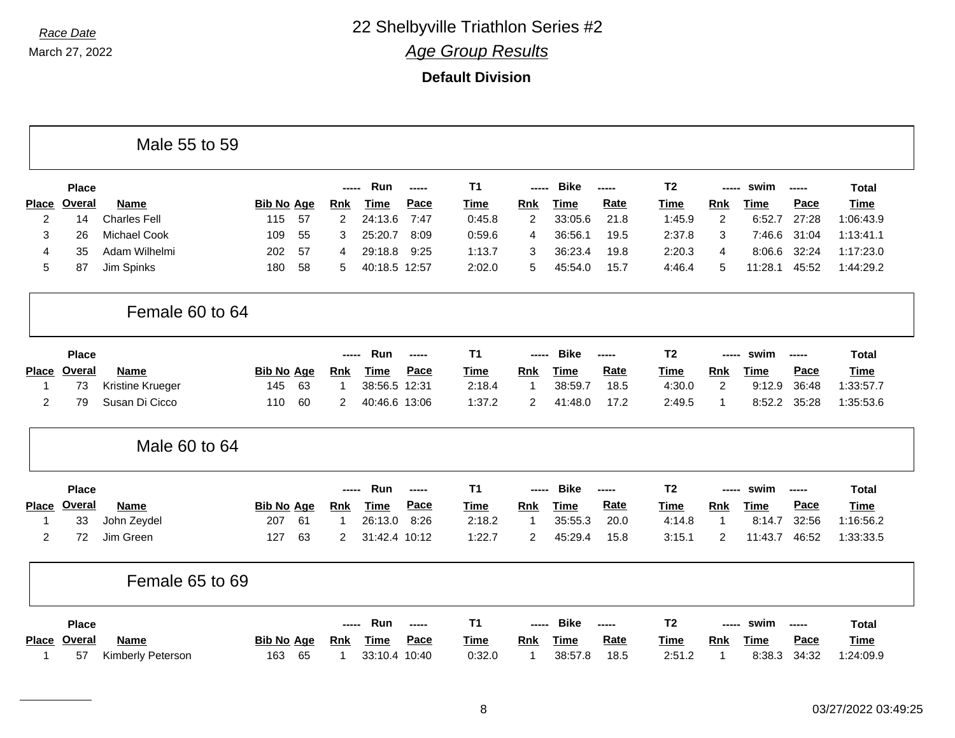|                |               | Male 55 to 59       |                   |                |               |        |             |                |             |       |                |                |             |             |              |
|----------------|---------------|---------------------|-------------------|----------------|---------------|--------|-------------|----------------|-------------|-------|----------------|----------------|-------------|-------------|--------------|
|                | <b>Place</b>  |                     |                   |                | Run           | ------ | <b>T1</b>   |                | <b>Bike</b> | ----- | T <sub>2</sub> | -----          | swim        | -----       | Total        |
| <b>Place</b>   | <b>Overal</b> | <b>Name</b>         | <b>Bib No Age</b> | <b>Rnk</b>     | <b>Time</b>   | Pace   | <b>Time</b> | Rnk            | <b>Time</b> | Rate  | <b>Time</b>    | Rnk            | Time        | Pace        | <b>Time</b>  |
| $\overline{c}$ | 14            | <b>Charles Fell</b> | 115<br>57         | $\overline{c}$ | 24:13.6       | 7:47   | 0:45.8      | $\overline{c}$ | 33:05.6     | 21.8  | 1:45.9         | $\overline{c}$ | 6:52.7      | 27:28       | 1:06:43.9    |
| 3              | 26            | <b>Michael Cook</b> | 109<br>55         | 3              | 25:20.7       | 8:09   | 0:59.6      | 4              | 36:56.1     | 19.5  | 2:37.8         | 3              | 7:46.6      | 31:04       | 1:13:41.1    |
| $\overline{4}$ | 35            | Adam Wilhelmi       | 57<br>202         | 4              | 29:18.8       | 9:25   | 1:13.7      | 3              | 36:23.4     | 19.8  | 2:20.3         | 4              | 8:06.6      | 32:24       | 1:17:23.0    |
| 5              | 87            | Jim Spinks          | 58<br>180         | 5              | 40:18.5 12:57 |        | 2:02.0      | 5              | 45:54.0     | 15.7  | 4:46.4         | 5              | 11:28.1     | 45:52       | 1:44:29.2    |
|                |               | Female 60 to 64     |                   |                |               |        |             |                |             |       |                |                |             |             |              |
|                | <b>Place</b>  |                     |                   | -----          | Run           | ------ | <b>T1</b>   | $---$          | <b>Bike</b> | ----- | T <sub>2</sub> | ------         | swim        | $- - - - -$ | <b>Total</b> |
| <b>Place</b>   | <b>Overal</b> | <b>Name</b>         | <b>Bib No Age</b> | <b>Rnk</b>     | <b>Time</b>   | Pace   | <b>Time</b> | <b>Rnk</b>     | <b>Time</b> | Rate  | <b>Time</b>    | <b>Rnk</b>     | <u>Time</u> | Pace        | <b>Time</b>  |
| 1              | 73            | Kristine Krueger    | 63<br>145         | $\overline{1}$ | 38:56.5 12:31 |        | 2:18.4      | 1              | 38:59.7     | 18.5  | 4:30.0         | 2              | 9:12.9      | 36:48       | 1:33:57.7    |
| $\overline{2}$ | 79            | Susan Di Cicco      | 60<br>110         | $\overline{c}$ | 40:46.6 13:06 |        | 1:37.2      | $\overline{c}$ | 41:48.0     | 17.2  | 2:49.5         | 1              | 8:52.2      | 35:28       | 1:35:53.6    |
|                |               | Male 60 to 64       |                   |                |               |        |             |                |             |       |                |                |             |             |              |
|                | <b>Place</b>  |                     |                   | -----          | Run           | -----  | <b>T1</b>   |                | <b>Bike</b> | ----- | T <sub>2</sub> |                | swim        | -----       | <b>Total</b> |
| <b>Place</b>   | <b>Overal</b> | <b>Name</b>         | <b>Bib No Age</b> | <b>Rnk</b>     | <b>Time</b>   | Pace   | <b>Time</b> | <b>Rnk</b>     | <b>Time</b> | Rate  | <b>Time</b>    | <b>Rnk</b>     | Time        | Pace        | <b>Time</b>  |
| 1              | 33            | John Zeydel         | 61<br>207         | 1              | 26:13.0       | 8:26   | 2:18.2      | 1              | 35:55.3     | 20.0  | 4:14.8         | 1              | 8:14.7      | 32:56       | 1:16:56.2    |
| $\overline{c}$ | 72            | Jim Green           | 63<br>127         | $\overline{2}$ | 31:42.4 10:12 |        | 1:22.7      | $\overline{c}$ | 45:29.4     | 15.8  | 3:15.1         | $\overline{c}$ | 11:43.7     | 46:52       | 1:33:33.5    |
|                |               | Female 65 to 69     |                   |                |               |        |             |                |             |       |                |                |             |             |              |
|                | <b>Place</b>  |                     |                   |                | Run           | ------ | <b>T1</b>   |                | <b>Bike</b> | ----- | T <sub>2</sub> | ------         | swim        | $- - - - -$ | <b>Total</b> |
| <b>Place</b>   | Overal        | <b>Name</b>         | <b>Bib No Age</b> | <b>Rnk</b>     | <b>Time</b>   | Pace   | <b>Time</b> | Rnk            | <u>Time</u> | Rate  | <b>Time</b>    | <b>Rnk</b>     | <u>Time</u> | Pace        | <b>Time</b>  |
| 1              | 57            | Kimberly Peterson   | 163<br>65         | $\mathbf{1}$   | 33:10.4       | 10:40  | 0:32.0      | 1              | 38:57.8     | 18.5  | 2:51.2         | -1             | 8:38.3      | 34:32       | 1:24:09.9    |